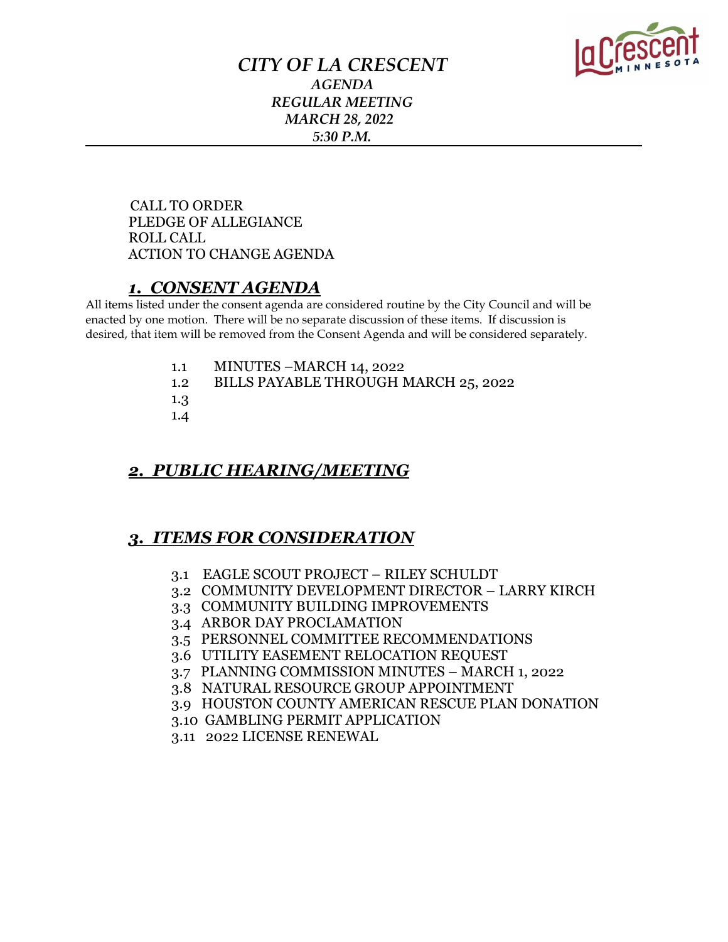

## *CITY OF LA CRESCENT AGENDA REGULAR MEETING MARCH 28, 2022 5:30 P.M.*

 CALL TO ORDER PLEDGE OF ALLEGIANCE ROLL CALL ACTION TO CHANGE AGENDA

## *1. CONSENT AGENDA*

All items listed under the consent agenda are considered routine by the City Council and will be enacted by one motion. There will be no separate discussion of these items. If discussion is desired, that item will be removed from the Consent Agenda and will be considered separately.

- 1.1 MINUTES –MARCH 14, 2022
- 1.2 BILLS PAYABLE THROUGH MARCH 25, 2022
- 1.3
- 1.4

## *2. PUBLIC HEARING/MEETING*

## *3. ITEMS FOR CONSIDERATION*

- 3.1 EAGLE SCOUT PROJECT RILEY SCHULDT
- 3.2 COMMUNITY DEVELOPMENT DIRECTOR LARRY KIRCH
- 3.3 COMMUNITY BUILDING IMPROVEMENTS
- 3.4 ARBOR DAY PROCLAMATION
- 3.5 PERSONNEL COMMITTEE RECOMMENDATIONS
- 3.6 UTILITY EASEMENT RELOCATION REQUEST
- 3.7 PLANNING COMMISSION MINUTES MARCH 1, 2022
- 3.8 NATURAL RESOURCE GROUP APPOINTMENT
- 3.9 HOUSTON COUNTY AMERICAN RESCUE PLAN DONATION
- 3.10 GAMBLING PERMIT APPLICATION
- 3.11 2022 LICENSE RENEWAL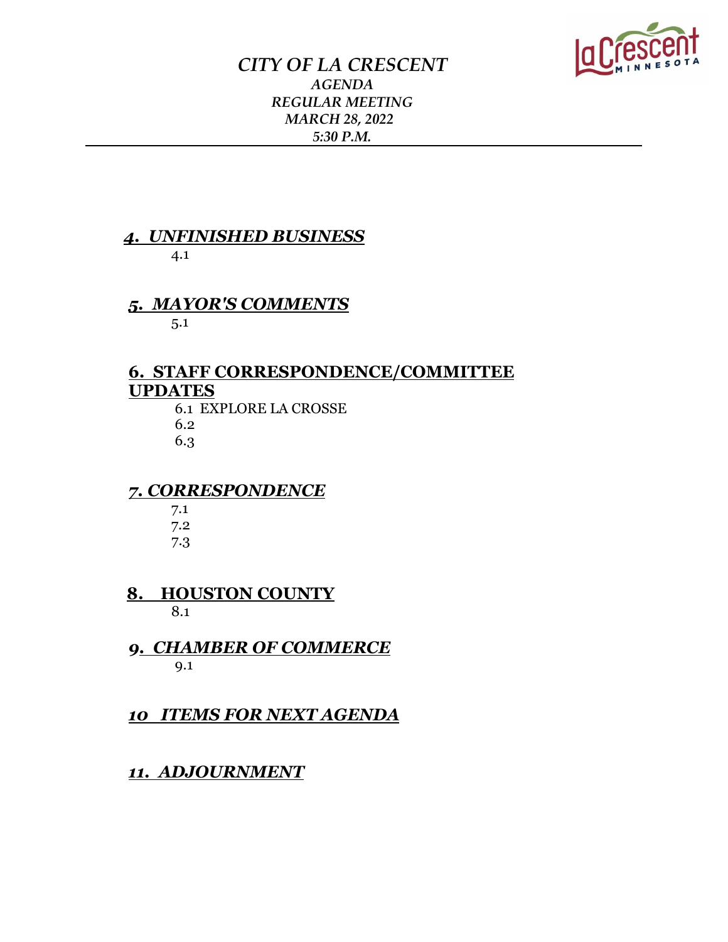

## *CITY OF LA CRESCENT AGENDA REGULAR MEETING MARCH 28, 2022 5:30 P.M.*

# *4. UNFINISHED BUSINESS*

4.1

## *5. MAYOR'S COMMENTS*

5.1

## **6. STAFF CORRESPONDENCE/COMMITTEE UPDATES**

 6.1 EXPLORE LA CROSSE 6.2 6.3

## *7. CORRESPONDENCE*

 7.1 7.2 7.3

 **8. HOUSTON COUNTY**  8.1

 *9. CHAMBER OF COMMERCE*  9.1

*10 ITEMS FOR NEXT AGENDA*

## *11. ADJOURNMENT*